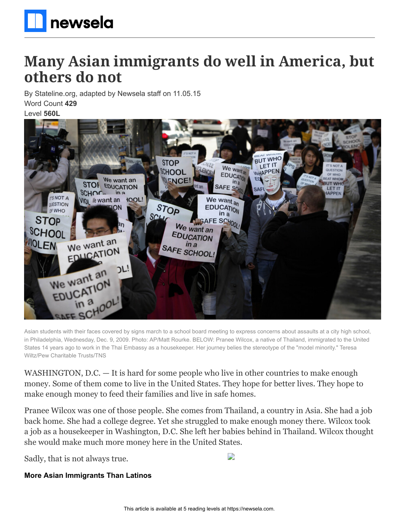

## **Many Asian immigrants do well in America, but others do not**

By Stateline.org, adapted by Newsela staff on 11.05.15 Word Count **429**

Level **560L**



Asian students with their faces covered by signs march to a school board meeting to express concerns about assaults at a city high school, in Philadelphia, Wednesday, Dec. 9, 2009. Photo: AP/Matt Rourke. BELOW: Pranee Wilcox, a native of Thailand, immigrated to the United States 14 years ago to work in the Thai Embassy as a housekeeper. Her journey belies the stereotype of the "model minority." Teresa Wiltz/Pew Charitable Trusts/TNS

WASHINGTON, D.C. — It is hard for some people who live in other countries to make enough money. Some of them come to live in the United States. They hope for better lives. They hope to make enough money to feed their families and live in safe homes.

Pranee Wilcox was one of those people. She comes from Thailand, a country in Asia. She had a job back home. She had a college degree. Yet she struggled to make enough money there. Wilcox took a job as a housekeeper in Washington, D.C. She left her babies behind in Thailand. Wilcox thought she would make much more money here in the United States.

Sadly, that is not always true.

**More Asian Immigrants Than Latinos**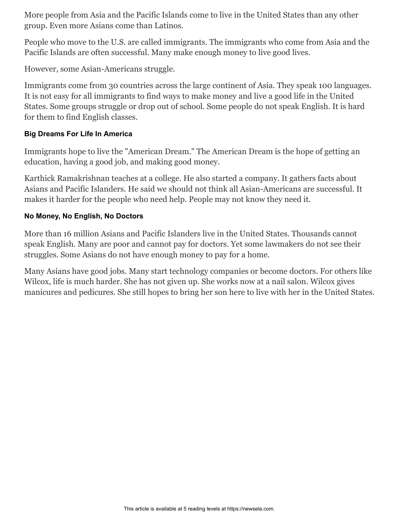More people from Asia and the Pacific Islands come to live in the United States than any other group. Even more Asians come than Latinos.

People who move to the U.S. are called immigrants. The immigrants who come from Asia and the Pacific Islands are often successful. Many make enough money to live good lives.

However, some Asian-Americans struggle.

Immigrants come from 30 countries across the large continent of Asia. They speak 100 languages. It is not easy for all immigrants to find ways to make money and live a good life in the United States. Some groups struggle or drop out of school. Some people do not speak English. It is hard for them to find English classes.

## **Big Dreams For Life In America**

Immigrants hope to live the "American Dream." The American Dream is the hope of getting an education, having a good job, and making good money.

Karthick Ramakrishnan teaches at a college. He also started a company. It gathers facts about Asians and Pacific Islanders. He said we should not think all Asian-Americans are successful. It makes it harder for the people who need help. People may not know they need it.

## **No Money, No English, No Doctors**

More than 16 million Asians and Pacific Islanders live in the United States. Thousands cannot speak English. Many are poor and cannot pay for doctors. Yet some lawmakers do not see their struggles. Some Asians do not have enough money to pay for a home.

Many Asians have good jobs. Many start technology companies or become doctors. For others like Wilcox, life is much harder. She has not given up. She works now at a nail salon. Wilcox gives manicures and pedicures. She still hopes to bring her son here to live with her in the United States.